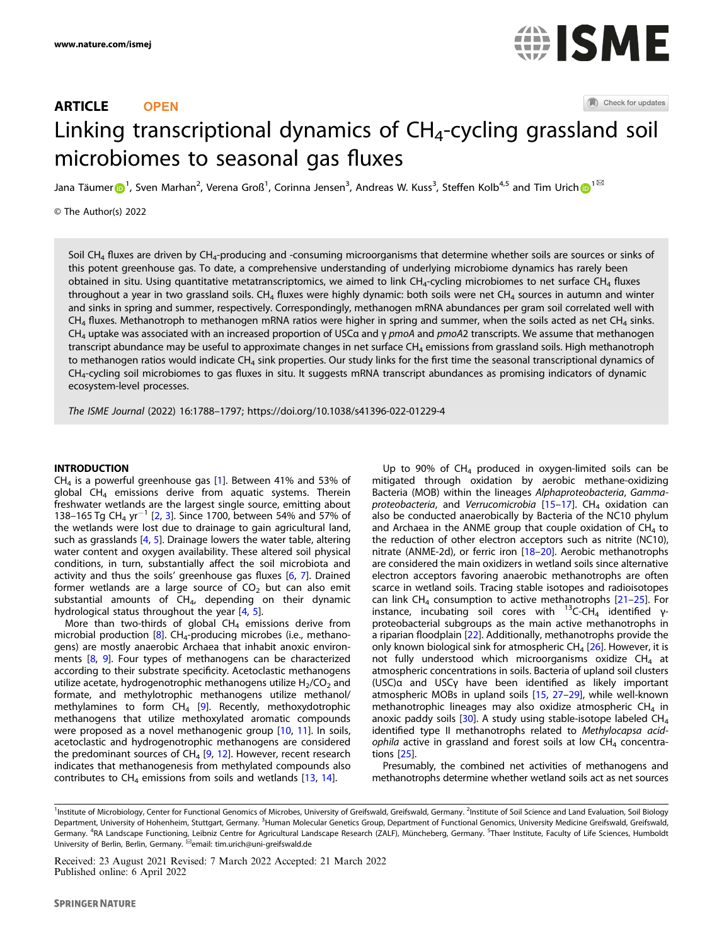# ARTICLE **OPEN**



(A) Check for updates

# Linking tr[a](http://crossmark.crossref.org/dialog/?doi=10.1038/s41396-022-01229-4&domain=pdf)nscriptional dynamics of  $CH<sub>4</sub>$ -cycling grassland soil microbiomes to seasonal gas fluxes

Jana Täumer $\bigodot^1$  $\bigodot^1$ , Sven Marhan<sup>2</sup>, Verena Groß<sup>1</sup>, Corinna Jensen<sup>3</sup>, Andreas W. Kuss<sup>3</sup>, Steffen Kolb<sup>4,5</sup> and Tim Urich $\bigodot^{1\boxtimes}$ 

© The Author(s) 2022

Soil CH<sub>4</sub> fluxes are driven by CH<sub>4</sub>-producing and -consuming microorganisms that determine whether soils are sources or sinks of this potent greenhouse gas. To date, a comprehensive understanding of underlying microbiome dynamics has rarely been obtained in situ. Using quantitative metatranscriptomics, we aimed to link CH<sub>4</sub>-cycling microbiomes to net surface CH<sub>4</sub> fluxes throughout a year in two grassland soils. CH<sub>4</sub> fluxes were highly dynamic: both soils were net CH<sub>4</sub> sources in autumn and winter and sinks in spring and summer, respectively. Correspondingly, methanogen mRNA abundances per gram soil correlated well with  $CH<sub>4</sub>$  fluxes. Methanotroph to methanogen mRNA ratios were higher in spring and summer, when the soils acted as net CH<sub>4</sub> sinks. CH<sub>4</sub> uptake was associated with an increased proportion of USCα and γ *pmoA* and *pmoA*2 transcripts. We assume that methanogen transcript abundance may be useful to approximate changes in net surface  $CH<sub>4</sub>$  emissions from grassland soils. High methanotroph to methanogen ratios would indicate  $CH<sub>4</sub>$  sink properties. Our study links for the first time the seasonal transcriptional dynamics of CH4-cycling soil microbiomes to gas fluxes in situ. It suggests mRNA transcript abundances as promising indicators of dynamic ecosystem-level processes.

The ISME Journal (2022) 16:1788–1797;<https://doi.org/10.1038/s41396-022-01229-4>

# INTRODUCTION

 $CH<sub>4</sub>$  is a powerful greenhouse gas [[1](#page-7-0)]. Between 41% and 53% of global CH<sub>4</sub> emissions derive from aquatic systems. Therein freshwater wetlands are the largest single source, emitting about 138–165 Tg CH<sub>4</sub> yr<sup>-1</sup> [\[2,](#page-7-0) [3\]](#page-7-0). Since 1700, between 54% and 57% of the wetlands were lost due to drainage to gain agricultural land, such as grasslands [[4](#page-7-0), [5](#page-7-0)]. Drainage lowers the water table, altering water content and oxygen availability. These altered soil physical conditions, in turn, substantially affect the soil microbiota and activity and thus the soils' greenhouse gas fluxes [[6](#page-7-0), [7](#page-7-0)]. Drained former wetlands are a large source of  $CO<sub>2</sub>$  but can also emit substantial amounts of  $CH<sub>4</sub>$ , depending on their dynamic hydrological status throughout the year [\[4,](#page-7-0) [5](#page-7-0)].

More than two-thirds of global  $CH<sub>4</sub>$  emissions derive from microbial production  $[8]$  $[8]$  $[8]$ . CH<sub>4</sub>-producing microbes (i.e., methanogens) are mostly anaerobic Archaea that inhabit anoxic environments [\[8,](#page-7-0) [9](#page-7-0)]. Four types of methanogens can be characterized according to their substrate specificity. Acetoclastic methanogens utilize acetate, hydrogenotrophic methanogens utilize  $H_2/CO_2$  and formate, and methylotrophic methanogens utilize methanol/ methylamines to form  $CH_4$  [[9](#page-7-0)]. Recently, methoxydotrophic methanogens that utilize methoxylated aromatic compounds were proposed as a novel methanogenic group [\[10,](#page-7-0) [11\]](#page-7-0). In soils, acetoclastic and hydrogenotrophic methanogens are considered the predominant sources of  $CH_4$  [[9](#page-7-0), [12\]](#page-7-0). However, recent research indicates that methanogenesis from methylated compounds also contributes to  $CH_4$  emissions from soils and wetlands [[13](#page-7-0), [14\]](#page-7-0).

Up to 90% of  $CH_4$  produced in oxygen-limited soils can be mitigated through oxidation by aerobic methane-oxidizing Bacteria (MOB) within the lineages Alphaproteobacteria, Gammaproteobacteria, and Verrucomicrobia  $[15-17]$  $[15-17]$  $[15-17]$  $[15-17]$ . CH<sub>4</sub> oxidation can also be conducted anaerobically by Bacteria of the NC10 phylum and Archaea in the ANME group that couple oxidation of  $CH<sub>4</sub>$  to the reduction of other electron acceptors such as nitrite (NC10), nitrate (ANME-2d), or ferric iron [[18](#page-7-0)–[20](#page-7-0)]. Aerobic methanotrophs are considered the main oxidizers in wetland soils since alternative electron acceptors favoring anaerobic methanotrophs are often scarce in wetland soils. Tracing stable isotopes and radioisotopes can link  $CH_4$  consumption to active methanotrophs  $[21-25]$  $[21-25]$  $[21-25]$  $[21-25]$ . For instance, incubating soil cores with  $^{13}$ C-CH<sub>4</sub> identified γproteobacterial subgroups as the main active methanotrophs in a riparian floodplain [\[22](#page-7-0)]. Additionally, methanotrophs provide the only known biological sink for atmospheric  $CH_4$  [[26\]](#page-8-0). However, it is not fully understood which microorganisms oxidize  $CH<sub>4</sub>$  at atmospheric concentrations in soils. Bacteria of upland soil clusters (USC)α and USCγ have been identified as likely important atmospheric MOBs in upland soils [\[15](#page-7-0), [27](#page-8-0)–[29](#page-8-0)], while well-known methanotrophic lineages may also oxidize atmospheric  $CH_4$  in anoxic paddy soils [[30](#page-8-0)]. A study using stable-isotope labeled  $CH<sub>4</sub>$ identified type II methanotrophs related to Methylocapsa acidophila active in grassland and forest soils at low  $CH<sub>4</sub>$  concentrations [\[25](#page-8-0)].

Presumably, the combined net activities of methanogens and methanotrophs determine whether wetland soils act as net sources

<sup>&</sup>lt;sup>1</sup>Institute of Microbiology, Center for Functional Genomics of Microbes, University of Greifswald, Gerfswald, Germany. <sup>2</sup>Institute of Soil Science and Land Evaluation, Soil Biology Department, University of Hohenheim, Stuttgart, Germany. <sup>3</sup>Human Molecular Genetics Group, Department of Functional Genomics, University Medicine Greifswald, Greifswald, Germany. <sup>4</sup>RA Landscape Functioning, Leibniz Centre for Agricultural Landscape Research (ZALF), Müncheberg, Germany. <sup>5</sup>Thaer Institute, Faculty of Life Sciences, Humboldt University of Berlin, Berlin, Germany. <sup>⊠</sup>email: [tim.urich@uni-greifswald.de](mailto:tim.urich@uni-greifswald.de)

Received: 23 August 2021 Revised: 7 March 2022 Accepted: 21 March 2022 Published online: 6 April 2022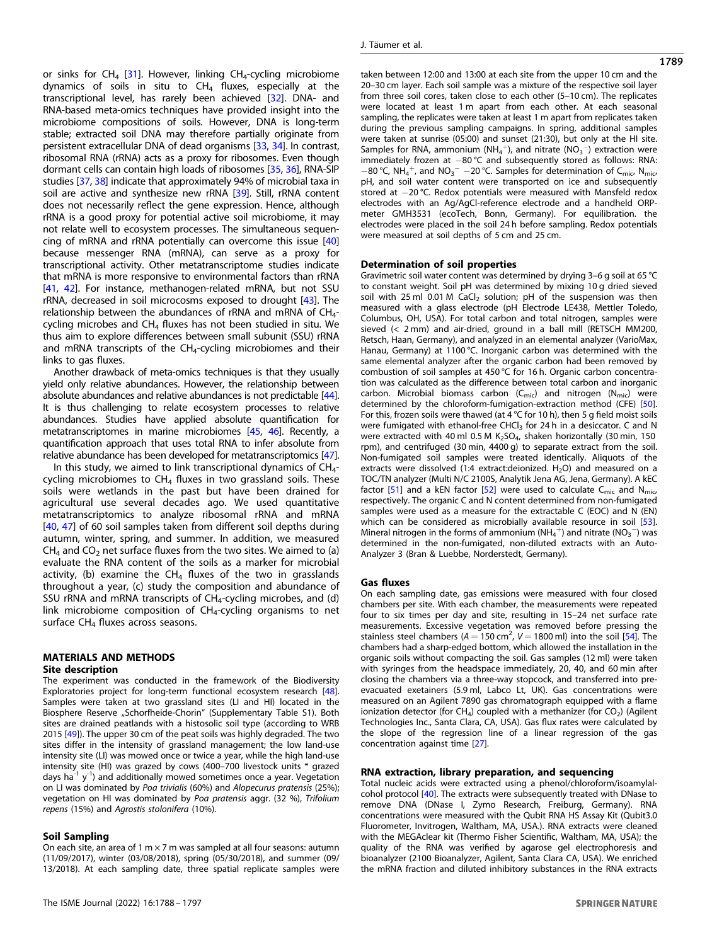or sinks for  $CH_4$  [[31](#page-8-0)]. However, linking  $CH_4$ -cycling microbiome dynamics of soils in situ to  $CH<sub>4</sub>$  fluxes, especially at the transcriptional level, has rarely been achieved [\[32](#page-8-0)]. DNA- and RNA-based meta-omics techniques have provided insight into the microbiome compositions of soils. However, DNA is long-term stable; extracted soil DNA may therefore partially originate from persistent extracellular DNA of dead organisms [\[33](#page-8-0), [34](#page-8-0)]. In contrast, ribosomal RNA (rRNA) acts as a proxy for ribosomes. Even though dormant cells can contain high loads of ribosomes [\[35](#page-8-0), [36](#page-8-0)], RNA-SIP studies [\[37](#page-8-0), [38](#page-8-0)] indicate that approximately 94% of microbial taxa in soil are active and synthesize new rRNA [\[39](#page-8-0)]. Still, rRNA content does not necessarily reflect the gene expression. Hence, although rRNA is a good proxy for potential active soil microbiome, it may not relate well to ecosystem processes. The simultaneous sequencing of mRNA and rRNA potentially can overcome this issue [\[40](#page-8-0)] because messenger RNA (mRNA), can serve as a proxy for transcriptional activity. Other metatranscriptome studies indicate that mRNA is more responsive to environmental factors than rRNA [\[41](#page-8-0), [42\]](#page-8-0). For instance, methanogen-related mRNA, but not SSU rRNA, decreased in soil microcosms exposed to drought [[43\]](#page-8-0). The relationship between the abundances of rRNA and mRNA of  $CH_{4}$ cycling microbes and  $CH<sub>4</sub>$  fluxes has not been studied in situ. We thus aim to explore differences between small subunit (SSU) rRNA and mRNA transcripts of the  $CH<sub>4</sub>$ -cycling microbiomes and their links to gas fluxes.

Another drawback of meta-omics techniques is that they usually yield only relative abundances. However, the relationship between absolute abundances and relative abundances is not predictable [\[44\]](#page-8-0). It is thus challenging to relate ecosystem processes to relative abundances. Studies have applied absolute quantification for metatranscriptomes in marine microbiomes [\[45,](#page-8-0) [46](#page-8-0)]. Recently, a quantification approach that uses total RNA to infer absolute from relative abundance has been developed for metatranscriptomics [\[47\]](#page-8-0).

In this study, we aimed to link transcriptional dynamics of  $CH_{4}$ cycling microbiomes to  $CH<sub>4</sub>$  fluxes in two grassland soils. These soils were wetlands in the past but have been drained for agricultural use several decades ago. We used quantitative metatranscriptomics to analyze ribosomal rRNA and mRNA [\[40,](#page-8-0) [47](#page-8-0)] of 60 soil samples taken from different soil depths during autumn, winter, spring, and summer. In addition, we measured  $CH<sub>4</sub>$  and CO<sub>2</sub> net surface fluxes from the two sites. We aimed to (a) evaluate the RNA content of the soils as a marker for microbial activity, (b) examine the  $CH_4$  fluxes of the two in grasslands throughout a year, (c) study the composition and abundance of SSU rRNA and mRNA transcripts of CH<sub>4</sub>-cycling microbes, and (d) link microbiome composition of CH4-cycling organisms to net surface  $CH<sub>4</sub>$  fluxes across seasons.

# MATERIALS AND METHODS

# Site description

The experiment was conducted in the framework of the Biodiversity Exploratories project for long-term functional ecosystem research [\[48](#page-8-0)]. Samples were taken at two grassland sites (LI and HI) located in the Biosphere Reserve "Schorfheide-Chorin" (Supplementary Table S1). Both sites are drained peatlands with a histosolic soil type (according to WRB 2015 [\[49](#page-8-0)]). The upper 30 cm of the peat soils was highly degraded. The two sites differ in the intensity of grassland management; the low land-use intensity site (LI) was mowed once or twice a year, while the high land-use intensity site (HI) was grazed by cows (400–700 livestock units \* grazed days ha<sup>-1</sup>  $y^{-1}$ ) and additionally mowed sometimes once a year. Vegetation on LI was dominated by Poa trivialis (60%) and Alopecurus pratensis (25%); vegetation on HI was dominated by Poa pratensis aggr. (32 %), Trifolium repens (15%) and Agrostis stolonifera (10%).

# Soil Sampling

On each site, an area of 1 m  $\times$  7 m was sampled at all four seasons: autumn (11/09/2017), winter (03/08/2018), spring (05/30/2018), and summer (09/ 13/2018). At each sampling date, three spatial replicate samples were taken between 12:00 and 13:00 at each site from the upper 10 cm and the 20–30 cm layer. Each soil sample was a mixture of the respective soil layer from three soil cores, taken close to each other (5–10 cm). The replicates were located at least 1 m apart from each other. At each seasonal sampling, the replicates were taken at least 1 m apart from replicates taken during the previous sampling campaigns. In spring, additional samples were taken at sunrise (05:00) and sunset (21:30), but only at the HI site. Samples for RNA, ammonium (NH<sub>4</sub><sup>+</sup>), and nitrate (NO<sub>3</sub><sup>-</sup>) extraction were immediately frozen at −80 °C and subsequently stored as follows: RNA: −80 °C, NH $_4^+$ , and NO<sub>3</sub><sup>−</sup> −20 °C. Samples for determination of C<sub>mic</sub>, N<sub>mic</sub> pH, and soil water content were transported on ice and subsequently stored at −20 °C. Redox potentials were measured with Mansfeld redox electrodes with an Ag/AgCl-reference electrode and a handheld ORPmeter GMH3531 (ecoTech, Bonn, Germany). For equilibration. the electrodes were placed in the soil 24 h before sampling. Redox potentials were measured at soil depths of 5 cm and 25 cm.

# Determination of soil properties

Gravimetric soil water content was determined by drying 3–6 g soil at 65 °C to constant weight. Soil pH was determined by mixing 10 g dried sieved soil with 25 ml 0.01 M CaCl<sub>2</sub> solution; pH of the suspension was then measured with a glass electrode (pH Electrode LE438, Mettler Toledo, Columbus, OH, USA). For total carbon and total nitrogen, samples were sieved (< 2 mm) and air-dried, ground in a ball mill (RETSCH MM200, Retsch, Haan, Germany), and analyzed in an elemental analyzer (VarioMax, Hanau, Germany) at 1100 °C. Inorganic carbon was determined with the same elemental analyzer after the organic carbon had been removed by combustion of soil samples at 450 °C for 16 h. Organic carbon concentration was calculated as the difference between total carbon and inorganic carbon. Microbial biomass carbon  $(C_{\text{mic}})$  and nitrogen  $(N_{\text{mic}})$  were determined by the chloroform-fumigation-extraction method (CFE) [\[50](#page-8-0)]. For this, frozen soils were thawed (at  $4^{\circ}$ C for 10 h), then 5 g field moist soils were fumigated with ethanol-free CHCl<sub>3</sub> for 24 h in a desiccator. C and N were extracted with 40 ml 0.5 M  $K_2SO_4$ , shaken horizontally (30 min, 150 rpm), and centrifuged (30 min, 4400 g) to separate extract from the soil. Non-fumigated soil samples were treated identically. Aliquots of the extracts were dissolved (1:4 extract: deionized.  $H_2O$ ) and measured on a TOC/TN analyzer (Multi N/C 2100S, Analytik Jena AG, Jena, Germany). A kEC factor [[51\]](#page-8-0) and a kEN factor [\[52](#page-8-0)] were used to calculate  $C_{\text{mic}}$  and  $N_{\text{mic}}$ respectively. The organic C and N content determined from non-fumigated samples were used as a measure for the extractable C (EOC) and N (EN) which can be considered as microbially available resource in soil [\[53](#page-8-0)]. Mineral nitrogen in the forms of ammonium (NH<sub>4</sub><sup>+</sup>) and nitrate (NO<sub>3</sub><sup>-</sup>) was determined in the non-fumigated, non-diluted extracts with an Auto-Analyzer 3 (Bran & Luebbe, Norderstedt, Germany).

# Gas fluxes

On each sampling date, gas emissions were measured with four closed chambers per site. With each chamber, the measurements were repeated four to six times per day and site, resulting in 15–24 net surface rate measurements. Excessive vegetation was removed before pressing the stainless steel chambers ( $A = 150$  cm<sup>2</sup>,  $V = 1800$  ml) into the soil [\[54](#page-8-0)]. The chambers had a sharp-edged bottom, which allowed the installation in the organic soils without compacting the soil. Gas samples (12 ml) were taken with syringes from the headspace immediately, 20, 40, and 60 min after closing the chambers via a three-way stopcock, and transferred into preevacuated exetainers (5.9 ml, Labco Lt, UK). Gas concentrations were measured on an Agilent 7890 gas chromatograph equipped with a flame ionization detector (for CH<sub>4</sub>) coupled with a methanizer (for CO<sub>2</sub>) (Agilent Technologies Inc., Santa Clara, CA, USA). Gas flux rates were calculated by the slope of the regression line of a linear regression of the gas concentration against time [\[27](#page-8-0)].

#### RNA extraction, library preparation, and sequencing

Total nucleic acids were extracted using a phenol/chloroform/isoamylalcohol protocol [[40\]](#page-8-0). The extracts were subsequently treated with DNase to remove DNA (DNase I, Zymo Research, Freiburg, Germany). RNA concentrations were measured with the Qubit RNA HS Assay Kit (Qubit3.0 Fluorometer, Invitrogen, Waltham, MA, USA.). RNA extracts were cleaned with the MEGAclear kit (Thermo Fisher Scientific, Waltham, MA, USA); the quality of the RNA was verified by agarose gel electrophoresis and bioanalyzer (2100 Bioanalyzer, Agilent, Santa Clara CA, USA). We enriched the mRNA fraction and diluted inhibitory substances in the RNA extracts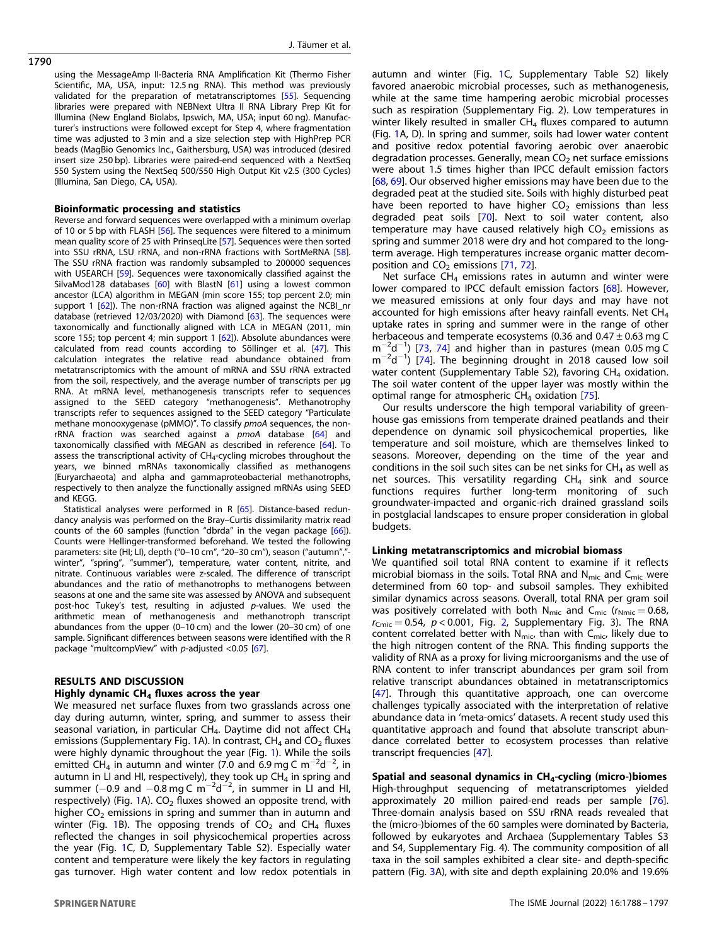1790

using the MessageAmp II-Bacteria RNA Amplification Kit (Thermo Fisher Scientific, MA, USA, input: 12.5 ng RNA). This method was previously validated for the preparation of metatranscriptomes [[55\]](#page-8-0). Sequencing libraries were prepared with NEBNext Ultra II RNA Library Prep Kit for Illumina (New England Biolabs, Ipswich, MA, USA; input 60 ng). Manufacturer's instructions were followed except for Step 4, where fragmentation time was adjusted to 3 min and a size selection step with HighPrep PCR beads (MagBio Genomics Inc., Gaithersburg, USA) was introduced (desired insert size 250 bp). Libraries were paired-end sequenced with a NextSeq 550 System using the NextSeq 500/550 High Output Kit v2.5 (300 Cycles) (Illumina, San Diego, CA, USA).

# Bioinformatic processing and statistics

Reverse and forward sequences were overlapped with a minimum overlap of 10 or 5 bp with FLASH [\[56\]](#page-8-0). The sequences were filtered to a minimum mean quality score of 25 with PrinseqLite [[57\]](#page-8-0). Sequences were then sorted into SSU rRNA, LSU rRNA, and non-rRNA fractions with SortMeRNA [\[58\]](#page-8-0). The SSU rRNA fraction was randomly subsampled to 200000 sequences with USEARCH [[59](#page-8-0)]. Sequences were taxonomically classified against the SilvaMod128 databases [[60\]](#page-8-0) with BlastN [[61\]](#page-8-0) using a lowest common ancestor (LCA) algorithm in MEGAN (min score 155; top percent 2.0; min support 1 [\[62](#page-8-0)]). The non-rRNA fraction was aligned against the NCBI\_nr database (retrieved 12/03/2020) with Diamond [\[63](#page-8-0)]. The sequences were taxonomically and functionally aligned with LCA in MEGAN (2011, min score 155; top percent 4; min support 1  $[62]$  $[62]$ ). Absolute abundances were calculated from read counts according to Söllinger et al. [\[47](#page-8-0)]. This calculation integrates the relative read abundance obtained from metatranscriptomics with the amount of mRNA and SSU rRNA extracted from the soil, respectively, and the average number of transcripts per µg RNA. At mRNA level, methanogenesis transcripts refer to sequences assigned to the SEED category "methanogenesis". Methanotrophy transcripts refer to sequences assigned to the SEED category "Particulate methane monooxygenase (pMMO)". To classify pmoA sequences, the non-rRNA fraction was searched against a pmoA database [[64\]](#page-8-0) and taxonomically classified with MEGAN as described in reference [[64\]](#page-8-0). To assess the transcriptional activity of  $CH<sub>4</sub>$ -cycling microbes throughout the years, we binned mRNAs taxonomically classified as methanogens (Euryarchaeota) and alpha and gammaproteobacterial methanotrophs, respectively to then analyze the functionally assigned mRNAs using SEED and KEGG.

Statistical analyses were performed in R [[65\]](#page-8-0). Distance-based redundancy analysis was performed on the Bray–Curtis dissimilarity matrix read counts of the 60 samples (function "dbrda" in the vegan package [\[66](#page-8-0)]). Counts were Hellinger-transformed beforehand. We tested the following parameters: site (HI; LI), depth ("0-10 cm", "20-30 cm"), season ("autumn","winter", "spring", "summer"), temperature, water content, nitrite, and nitrate. Continuous variables were z-scaled. The difference of transcript abundances and the ratio of methanotrophs to methanogens between seasons at one and the same site was assessed by ANOVA and subsequent post-hoc Tukey's test, resulting in adjusted p-values. We used the arithmetic mean of methanogenesis and methanotroph transcript abundances from the upper (0–10 cm) and the lower (20–30 cm) of one sample. Significant differences between seasons were identified with the R package "multcompView" with p-adjusted <0.05 [\[67\]](#page-8-0).

#### RESULTS AND DISCUSSION

# Highly dynamic  $CH<sub>4</sub>$  fluxes across the year

We measured net surface fluxes from two grasslands across one day during autumn, winter, spring, and summer to assess their seasonal variation, in particular  $CH_4$ . Daytime did not affect  $CH_4$ emissions (Supplementary Fig. 1A). In contrast,  $CH<sub>4</sub>$  and  $CO<sub>2</sub>$  fluxes were highly dynamic throughout the year (Fig. [1\)](#page-3-0). While the soils emitted  $CH_4$  in autumn and winter (7.0 and 6.9 mg C m<sup>-2</sup>d<sup>-2</sup>, in autumn in LI and HI, respectively), they took up  $CH<sub>4</sub>$  in spring and summer (-0.9 and -0.8 mg C  $\text{m}^{-2}\text{d}^{-2}$ , in summer in LI and HI, respectively) (Fig. [1](#page-3-0)A).  $CO<sub>2</sub>$  fluxes showed an opposite trend, with higher  $CO<sub>2</sub>$  emissions in spring and summer than in autumn and winter (Fig. [1](#page-3-0)B). The opposing trends of  $CO<sub>2</sub>$  and  $CH<sub>4</sub>$  fluxes reflected the changes in soil physicochemical properties across the year (Fig. [1](#page-3-0)C, D, Supplementary Table S2). Especially water content and temperature were likely the key factors in regulating gas turnover. High water content and low redox potentials in autumn and winter (Fig. [1C](#page-3-0), Supplementary Table S2) likely favored anaerobic microbial processes, such as methanogenesis, while at the same time hampering aerobic microbial processes such as respiration (Supplementary Fig. 2). Low temperatures in winter likely resulted in smaller  $CH<sub>4</sub>$  fluxes compared to autumn (Fig. [1](#page-3-0)A, D). In spring and summer, soils had lower water content and positive redox potential favoring aerobic over anaerobic degradation processes. Generally, mean  $CO<sub>2</sub>$  net surface emissions were about 1.5 times higher than IPCC default emission factors [[68,](#page-8-0) [69](#page-8-0)]. Our observed higher emissions may have been due to the degraded peat at the studied site. Soils with highly disturbed peat have been reported to have higher  $CO<sub>2</sub>$  emissions than less degraded peat soils [\[70\]](#page-8-0). Next to soil water content, also temperature may have caused relatively high  $CO<sub>2</sub>$  emissions as spring and summer 2018 were dry and hot compared to the longterm average. High temperatures increase organic matter decomposition and  $CO<sub>2</sub>$  emissions [[71,](#page-8-0) [72\]](#page-8-0).

Net surface  $CH<sub>4</sub>$  emissions rates in autumn and winter were lower compared to IPCC default emission factors [\[68](#page-8-0)]. However, we measured emissions at only four days and may have not accounted for high emissions after heavy rainfall events. Net CH<sub>4</sub> uptake rates in spring and summer were in the range of other herbaceous and temperate ecosystems (0.36 and  $0.47 \pm 0.63$  mg C m−<sup>2</sup> d−<sup>1</sup> ) [\[73](#page-8-0), [74](#page-8-0)] and higher than in pastures (mean 0.05 mg C m<sup>-2</sup>d<sup>-1</sup>) [[74\]](#page-8-0). The beginning drought in 2018 caused low soil water content (Supplementary Table S2), favoring  $CH<sub>4</sub>$  oxidation. The soil water content of the upper layer was mostly within the optimal range for atmospheric  $CH<sub>4</sub>$  oxidation [\[75\]](#page-8-0).

Our results underscore the high temporal variability of greenhouse gas emissions from temperate drained peatlands and their dependence on dynamic soil physicochemical properties, like temperature and soil moisture, which are themselves linked to seasons. Moreover, depending on the time of the year and conditions in the soil such sites can be net sinks for  $CH<sub>4</sub>$  as well as net sources. This versatility regarding  $CH_4$  sink and source functions requires further long-term monitoring of such groundwater-impacted and organic-rich drained grassland soils in postglacial landscapes to ensure proper consideration in global budgets.

# Linking metatranscriptomics and microbial biomass

We quantified soil total RNA content to examine if it reflects microbial biomass in the soils. Total RNA and  $N_{\text{mic}}$  and  $C_{\text{mic}}$  were determined from 60 top- and subsoil samples. They exhibited similar dynamics across seasons. Overall, total RNA per gram soil was positively correlated with both N<sub>mic</sub> and C<sub>mic</sub> ( $r_{\text{Nmic}} = 0.68$ ,  $r_{\text{Cmic}} = 0.54$ ,  $p < 0.001$ , Fig. [2,](#page-3-0) Supplementary Fig. 3). The RNA content correlated better with  $N_{\text{mic}}$ , than with  $C_{\text{mic}}$ , likely due to the high nitrogen content of the RNA. This finding supports the validity of RNA as a proxy for living microorganisms and the use of RNA content to infer transcript abundances per gram soil from relative transcript abundances obtained in metatranscriptomics  $[47]$  $[47]$ . Through this quantitative approach, one can overcome challenges typically associated with the interpretation of relative abundance data in 'meta-omics' datasets. A recent study used this quantitative approach and found that absolute transcript abundance correlated better to ecosystem processes than relative transcript frequencies [[47\]](#page-8-0).

Spatial and seasonal dynamics in  $CH<sub>4</sub>-cycling$  (micro-)biomes High-throughput sequencing of metatranscriptomes yielded approximately 20 million paired-end reads per sample [[76](#page-8-0)]. Three-domain analysis based on SSU rRNA reads revealed that the (micro-)biomes of the 60 samples were dominated by Bacteria, followed by eukaryotes and Archaea (Supplementary Tables S3 and S4, Supplementary Fig. 4). The community composition of all taxa in the soil samples exhibited a clear site- and depth-specific pattern (Fig. [3](#page-4-0)A), with site and depth explaining 20.0% and 19.6%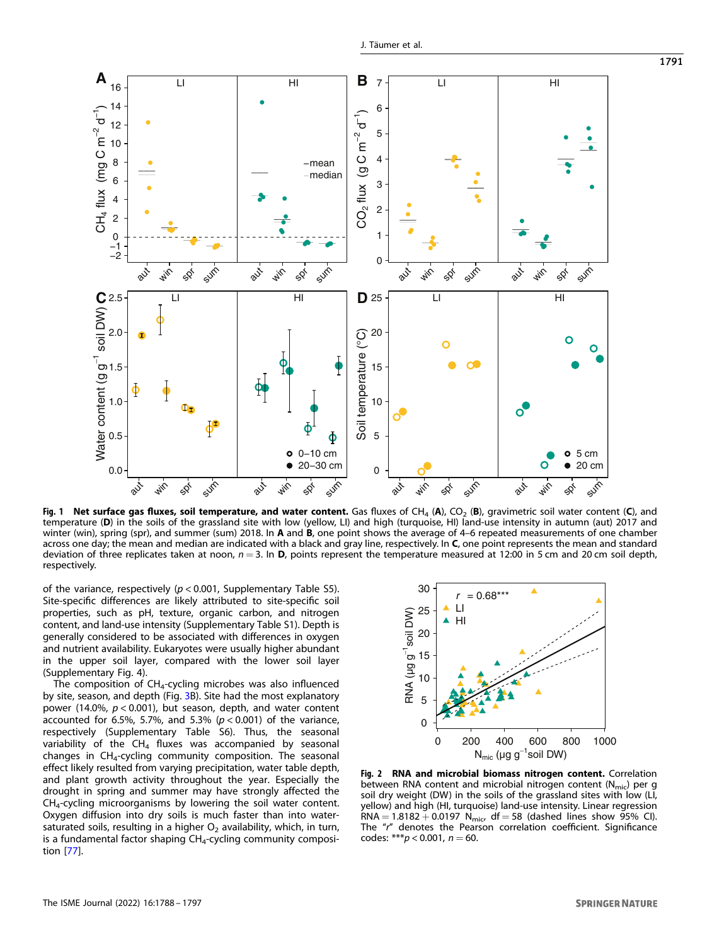<span id="page-3-0"></span>

Fig. 1 Net surface gas fluxes, soil temperature, and water content. Gas fluxes of CH<sub>4</sub> (A), CO<sub>2</sub> (B), gravimetric soil water content (C), and temperature (D) in the soils of the grassland site with low (yellow, LI) and high (turquoise, HI) land-use intensity in autumn (aut) 2017 and winter (win), spring (spr), and summer (sum) 2018. In A and B, one point shows the average of 4–6 repeated measurements of one chamber across one day; the mean and median are indicated with a black and gray line, respectively. In C, one point represents the mean and standard deviation of three replicates taken at noon,  $n = 3$ . In D, points represent the temperature measured at 12:00 in 5 cm and 20 cm soil depth, respectively.

of the variance, respectively ( $p < 0.001$ , Supplementary Table S5). Site-specific differences are likely attributed to site-specific soil properties, such as pH, texture, organic carbon, and nitrogen content, and land-use intensity (Supplementary Table S1). Depth is generally considered to be associated with differences in oxygen and nutrient availability. Eukaryotes were usually higher abundant in the upper soil layer, compared with the lower soil layer (Supplementary Fig. 4).

The composition of CH4-cycling microbes was also influenced by site, season, and depth (Fig. [3](#page-4-0)B). Site had the most explanatory power (14.0%,  $p < 0.001$ ), but season, depth, and water content accounted for 6.5%, 5.7%, and 5.3% ( $p < 0.001$ ) of the variance, respectively (Supplementary Table S6). Thus, the seasonal variability of the  $CH_4$  fluxes was accompanied by seasonal changes in  $CH<sub>4</sub>$ -cycling community composition. The seasonal effect likely resulted from varying precipitation, water table depth, and plant growth activity throughout the year. Especially the drought in spring and summer may have strongly affected the  $CH<sub>4</sub>$ -cycling microorganisms by lowering the soil water content. Oxygen diffusion into dry soils is much faster than into watersaturated soils, resulting in a higher  $O<sub>2</sub>$  availability, which, in turn, is a fundamental factor shaping CH<sub>4</sub>-cycling community composition [\[77](#page-9-0)].



Fig. 2 RNA and microbial biomass nitrogen content. Correlation between RNA content and microbial nitrogen content ( $N_{\text{mic}}$ ) per g soil dry weight (DW) in the soils of the grassland sites with low (LI, yellow) and high (HI, turquoise) land-use intensity. Linear regression RNA =  $1.8182 + 0.0197$  N<sub>mic</sub>, df = 58 (dashed lines show 95% CI). The "r" denotes the Pearson correlation coefficient. Significance codes:  $***p$  < 0.001,  $n = 60$ .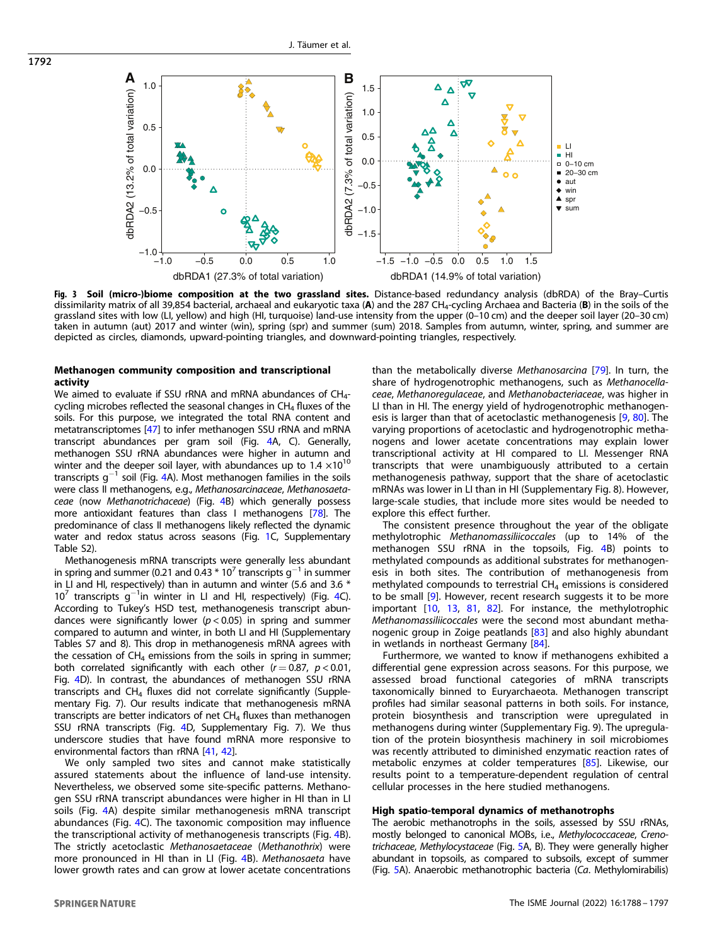<span id="page-4-0"></span>

Fig. 3 Soil (micro-)biome composition at the two grassland sites. Distance-based redundancy analysis (dbRDA) of the Bray-Curtis dissimilarity matrix of all 39,854 bacterial, archaeal and eukaryotic taxa (A) and the 287 CH<sub>4</sub>-cycling Archaea and Bacteria (B) in the soils of the grassland sites with low (LI, yellow) and high (HI, turquoise) land-use intensity from the upper (0–10 cm) and the deeper soil layer (20–30 cm) taken in autumn (aut) 2017 and winter (win), spring (spr) and summer (sum) 2018. Samples from autumn, winter, spring, and summer are depicted as circles, diamonds, upward-pointing triangles, and downward-pointing triangles, respectively.

# Methanogen community composition and transcriptional activity

We aimed to evaluate if SSU rRNA and mRNA abundances of  $CH<sub>4</sub>$ cycling microbes reflected the seasonal changes in  $CH<sub>4</sub>$  fluxes of the soils. For this purpose, we integrated the total RNA content and metatranscriptomes [\[47\]](#page-8-0) to infer methanogen SSU rRNA and mRNA transcript abundances per gram soil (Fig. [4A](#page-5-0), C). Generally, methanogen SSU rRNA abundances were higher in autumn and winter and the deeper soil layer, with abundances up to  $1.4 \times 10^{10}$ transcripts  $q^{-1}$  soil (Fig. [4](#page-5-0)A). Most methanogen families in the soils were class II methanogens, e.g., Methanosarcinaceae, Methanosaetaceae (now Methanotrichaceae) (Fig. [4B](#page-5-0)) which generally possess more antioxidant features than class I methanogens [\[78](#page-9-0)]. The predominance of class II methanogens likely reflected the dynamic water and redox status across seasons (Fig. [1](#page-3-0)C, Supplementary Table S2).

Methanogenesis mRNA transcripts were generally less abundant in spring and summer (0.21 and 0.43  $*$  10<sup>7</sup> transcripts g<sup>-1</sup> in summer in LI and HI, respectively) than in autumn and winter (5.6 and 3.6 \* 10<sup>7</sup> transcripts g<sup>-1</sup>in winter in LI and HI, respectively) (Fig. [4](#page-5-0)C). According to Tukey's HSD test, methanogenesis transcript abundances were significantly lower ( $p < 0.05$ ) in spring and summer compared to autumn and winter, in both LI and HI (Supplementary Tables S7 and 8). This drop in methanogenesis mRNA agrees with the cessation of  $CH<sub>4</sub>$  emissions from the soils in spring in summer; both correlated significantly with each other  $(r = 0.87, p < 0.01,$ Fig. [4D](#page-5-0)). In contrast, the abundances of methanogen SSU rRNA transcripts and  $CH_4$  fluxes did not correlate significantly (Supplementary Fig. 7). Our results indicate that methanogenesis mRNA transcripts are better indicators of net  $CH<sub>4</sub>$  fluxes than methanogen SSU rRNA transcripts (Fig. [4D](#page-5-0), Supplementary Fig. 7). We thus underscore studies that have found mRNA more responsive to environmental factors than rRNA [[41,](#page-8-0) [42](#page-8-0)].

We only sampled two sites and cannot make statistically assured statements about the influence of land-use intensity. Nevertheless, we observed some site-specific patterns. Methanogen SSU rRNA transcript abundances were higher in HI than in LI soils (Fig. [4](#page-5-0)A) despite similar methanogenesis mRNA transcript abundances (Fig. [4](#page-5-0)C). The taxonomic composition may influence the transcriptional activity of methanogenesis transcripts (Fig. [4](#page-5-0)B). The strictly acetoclastic Methanosaetaceae (Methanothrix) were more pronounced in HI than in LI (Fig. [4B](#page-5-0)). Methanosaeta have lower growth rates and can grow at lower acetate concentrations than the metabolically diverse Methanosarcina [[79\]](#page-9-0). In turn, the share of hydrogenotrophic methanogens, such as Methanocellaceae, Methanoregulaceae, and Methanobacteriaceae, was higher in LI than in HI. The energy yield of hydrogenotrophic methanogen-esis is larger than that of acetoclastic methanogenesis [[9](#page-7-0), [80\]](#page-9-0). The varying proportions of acetoclastic and hydrogenotrophic methanogens and lower acetate concentrations may explain lower transcriptional activity at HI compared to LI. Messenger RNA transcripts that were unambiguously attributed to a certain methanogenesis pathway, support that the share of acetoclastic mRNAs was lower in LI than in HI (Supplementary Fig. 8). However, large-scale studies, that include more sites would be needed to explore this effect further.

The consistent presence throughout the year of the obligate methylotrophic Methanomassiliicoccales (up to 14% of the methanogen SSU rRNA in the topsoils, Fig. [4B](#page-5-0)) points to methylated compounds as additional substrates for methanogenesis in both sites. The contribution of methanogenesis from methylated compounds to terrestrial  $CH<sub>4</sub>$  emissions is considered to be small [\[9\]](#page-7-0). However, recent research suggests it to be more important [\[10](#page-7-0), [13](#page-7-0), [81,](#page-9-0) [82\]](#page-9-0). For instance, the methylotrophic Methanomassiliicoccales were the second most abundant methanogenic group in Zoige peatlands [[83](#page-9-0)] and also highly abundant in wetlands in northeast Germany [\[84\]](#page-9-0).

Furthermore, we wanted to know if methanogens exhibited a differential gene expression across seasons. For this purpose, we assessed broad functional categories of mRNA transcripts taxonomically binned to Euryarchaeota. Methanogen transcript profiles had similar seasonal patterns in both soils. For instance, protein biosynthesis and transcription were upregulated in methanogens during winter (Supplementary Fig. 9). The upregulation of the protein biosynthesis machinery in soil microbiomes was recently attributed to diminished enzymatic reaction rates of metabolic enzymes at colder temperatures [[85](#page-9-0)]. Likewise, our results point to a temperature-dependent regulation of central cellular processes in the here studied methanogens.

# High spatio-temporal dynamics of methanotrophs

The aerobic methanotrophs in the soils, assessed by SSU rRNAs, mostly belonged to canonical MOBs, i.e., Methylococcaceae, Crenotrichaceae, Methylocystaceae (Fig. [5A](#page-6-0), B). They were generally higher abundant in topsoils, as compared to subsoils, except of summer (Fig. [5A](#page-6-0)). Anaerobic methanotrophic bacteria (Ca. Methylomirabilis)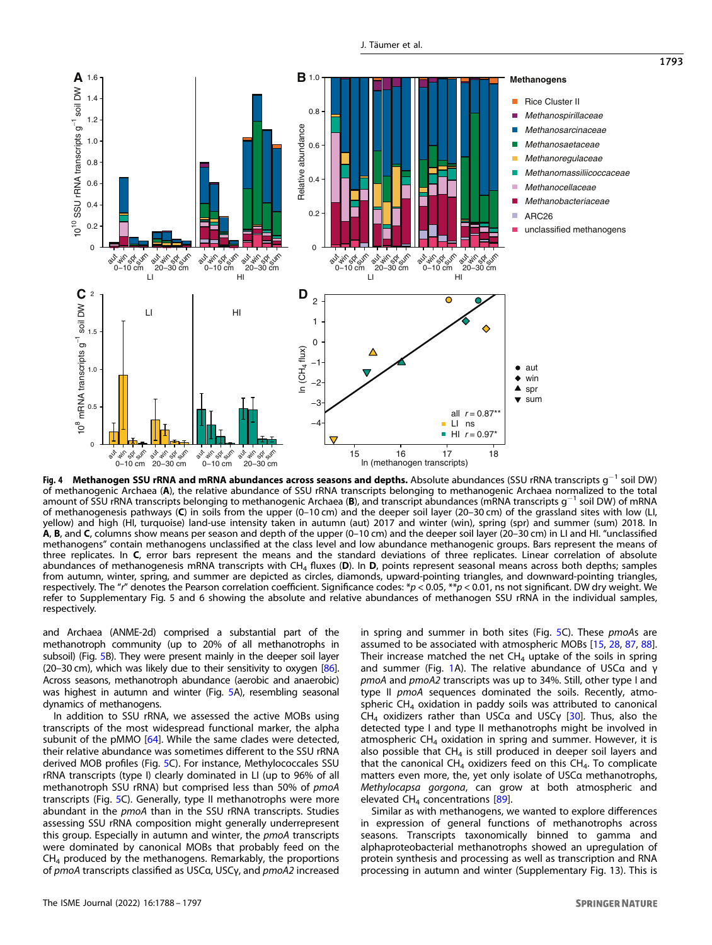<span id="page-5-0"></span>

Fig. 4 Methanogen SSU rRNA and mRNA abundances across seasons and depths. Absolute abundances (SSU rRNA transcripts q<sup>−1</sup> soil DW) of methanogenic Archaea (A), the relative abundance of SSU rRNA transcripts belonging to methanogenic Archaea normalized to the total amount of SSU rRNA transcripts belonging to methanogenic Archaea (B), and transcript abundances (mRNA transcripts g−<sup>1</sup> soil DW) of mRNA of methanogenesis pathways (C) in soils from the upper (0–10 cm) and the deeper soil layer (20–30 cm) of the grassland sites with low (LI, yellow) and high (HI, turquoise) land-use intensity taken in autumn (aut) 2017 and winter (win), spring (spr) and summer (sum) 2018. In A, B, and C, columns show means per season and depth of the upper (0–10 cm) and the deeper soil layer (20–30 cm) in LI and HI. "unclassified methanogens" contain methanogens unclassified at the class level and low abundance methanogenic groups. Bars represent the means of three replicates. In C, error bars represent the means and the standard deviations of three replicates. Linear correlation of absolute abundances of methanogenesis mRNA transcripts with CH<sub>4</sub> fluxes (D). In D, points represent seasonal means across both depths; samples from autumn, winter, spring, and summer are depicted as circles, diamonds, upward-pointing triangles, and downward-pointing triangles, respectively. The "r" denotes the Pearson correlation coefficient. Significance codes: \*p < 0.05, \*\*p < 0.01, ns not significant. DW dry weight. We refer to Supplementary Fig. 5 and 6 showing the absolute and relative abundances of methanogen SSU rRNA in the individual samples, respectively.

and Archaea (ANME-2d) comprised a substantial part of the methanotroph community (up to 20% of all methanotrophs in subsoil) (Fig. [5](#page-6-0)B). They were present mainly in the deeper soil layer (20–30 cm), which was likely due to their sensitivity to oxygen  $[86]$ . Across seasons, methanotroph abundance (aerobic and anaerobic) was highest in autumn and winter (Fig. [5](#page-6-0)A), resembling seasonal dynamics of methanogens.

In addition to SSU rRNA, we assessed the active MOBs using transcripts of the most widespread functional marker, the alpha subunit of the pMMO [\[64](#page-8-0)]. While the same clades were detected, their relative abundance was sometimes different to the SSU rRNA derived MOB profiles (Fig. [5C](#page-6-0)). For instance, Methylococcales SSU rRNA transcripts (type I) clearly dominated in LI (up to 96% of all methanotroph SSU rRNA) but comprised less than 50% of pmoA transcripts (Fig. [5](#page-6-0)C). Generally, type II methanotrophs were more abundant in the pmoA than in the SSU rRNA transcripts. Studies assessing SSU rRNA composition might generally underrepresent this group. Especially in autumn and winter, the pmoA transcripts were dominated by canonical MOBs that probably feed on the CH4 produced by the methanogens. Remarkably, the proportions of pmoA transcripts classified as USCα, USCγ, and pmoA2 increased in spring and summer in both sites (Fig. [5](#page-6-0)C). These pmoAs are assumed to be associated with atmospheric MOBs [\[15](#page-7-0), [28,](#page-8-0) [87](#page-9-0), [88\]](#page-9-0). Their increase matched the net  $CH<sub>4</sub>$  uptake of the soils in spring and summer (Fig. [1](#page-3-0)A). The relative abundance of USCα and γ pmoA and pmoA2 transcripts was up to 34%. Still, other type I and type II pmoA sequences dominated the soils. Recently, atmospheric  $CH<sub>4</sub>$  oxidation in paddy soils was attributed to canonical CH4 oxidizers rather than USCα and USCγ [\[30\]](#page-8-0). Thus, also the detected type I and type II methanotrophs might be involved in atmospheric  $CH<sub>4</sub>$  oxidation in spring and summer. However, it is also possible that  $CH<sub>4</sub>$  is still produced in deeper soil layers and that the canonical CH<sub>4</sub> oxidizers feed on this CH<sub>4</sub>. To complicate matters even more, the, yet only isolate of USCα methanotrophs, Methylocapsa gorgona, can grow at both atmospheric and elevated  $CH<sub>4</sub>$  concentrations [\[89\]](#page-9-0).

Similar as with methanogens, we wanted to explore differences in expression of general functions of methanotrophs across seasons. Transcripts taxonomically binned to gamma and alphaproteobacterial methanotrophs showed an upregulation of protein synthesis and processing as well as transcription and RNA processing in autumn and winter (Supplementary Fig. 13). This is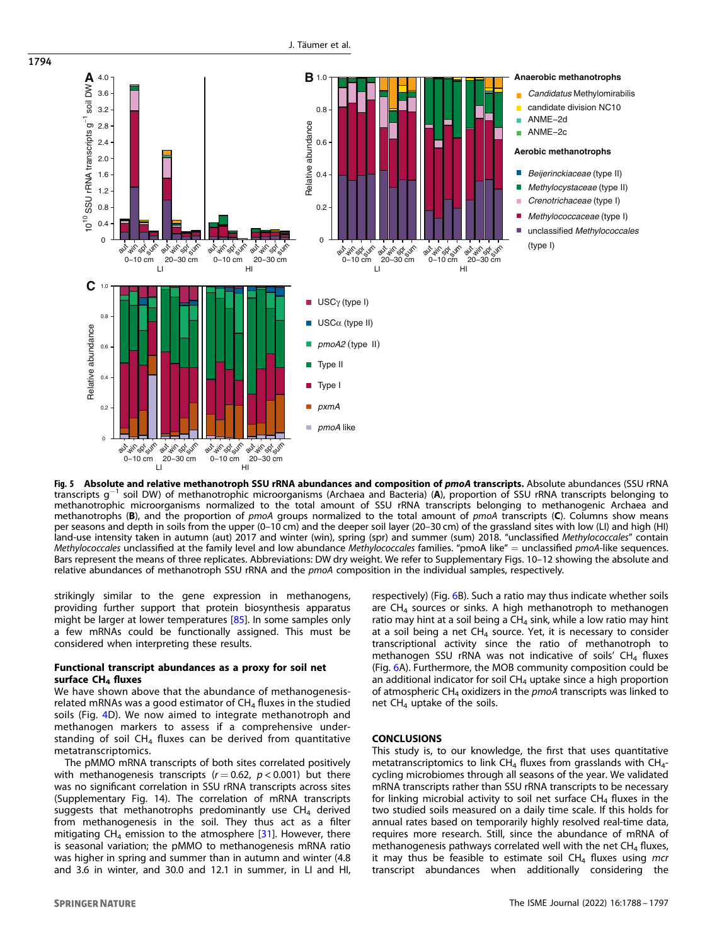

**Fig. 5 Absolute and relative methanotroph SSU rRNA abundances and composition of pmoA transcripts.** Absolute abundances (SSU rRNA<br>transcripts g<sup>-1</sup> soil DW) of methanotrophic microorganisms (Archaea and Bacteria) (**A**) methanotrophic microorganisms normalized to the total amount of SSU rRNA transcripts belonging to methanogenic Archaea and methanotrophs (B), and the proportion of pmoA groups normalized to the total amount of pmoA transcripts (C). Columns show means per seasons and depth in soils from the upper (0–10 cm) and the deeper soil layer (20–30 cm) of the grassland sites with low (LI) and high (HI) land-use intensity taken in autumn (aut) 2017 and winter (win), spring (spr) and summer (sum) 2018. "unclassified Methylococcales" contain Methylococcales unclassified at the family level and low abundance Methylococcales families. "pmoA like" = unclassified pmoA-like sequences. Bars represent the means of three replicates. Abbreviations: DW dry weight. We refer to Supplementary Figs. 10–12 showing the absolute and relative abundances of methanotroph SSU rRNA and the pmoA composition in the individual samples, respectively.

strikingly similar to the gene expression in methanogens, providing further support that protein biosynthesis apparatus might be larger at lower temperatures [\[85\]](#page-9-0). In some samples only a few mRNAs could be functionally assigned. This must be considered when interpreting these results.

# Functional transcript abundances as a proxy for soil net surface  $CH<sub>4</sub>$  fluxes

We have shown above that the abundance of methanogenesisrelated mRNAs was a good estimator of  $CH<sub>4</sub>$  fluxes in the studied soils (Fig. [4](#page-5-0)D). We now aimed to integrate methanotroph and methanogen markers to assess if a comprehensive understanding of soil  $CH<sub>4</sub>$  fluxes can be derived from quantitative metatranscriptomics.

The pMMO mRNA transcripts of both sites correlated positively with methanogenesis transcripts ( $r = 0.62$ ,  $p < 0.001$ ) but there was no significant correlation in SSU rRNA transcripts across sites (Supplementary Fig. 14). The correlation of mRNA transcripts suggests that methanotrophs predominantly use  $CH<sub>4</sub>$  derived from methanogenesis in the soil. They thus act as a filter mitigating  $CH_4$  emission to the atmosphere [[31\]](#page-8-0). However, there is seasonal variation; the pMMO to methanogenesis mRNA ratio was higher in spring and summer than in autumn and winter (4.8 and 3.6 in winter, and 30.0 and 12.1 in summer, in LI and HI, respectively) (Fig. [6](#page-7-0)B). Such a ratio may thus indicate whether soils are  $CH<sub>4</sub>$  sources or sinks. A high methanotroph to methanogen ratio may hint at a soil being a  $CH<sub>4</sub>$  sink, while a low ratio may hint at a soil being a net  $CH_4$  source. Yet, it is necessary to consider transcriptional activity since the ratio of methanotroph to methanogen SSU rRNA was not indicative of soils'  $CH<sub>4</sub>$  fluxes (Fig. [6A](#page-7-0)). Furthermore, the MOB community composition could be an additional indicator for soil  $CH<sub>4</sub>$  uptake since a high proportion of atmospheric  $CH_4$  oxidizers in the pmoA transcripts was linked to net  $CH<sub>4</sub>$  uptake of the soils.

# **CONCLUSIONS**

This study is, to our knowledge, the first that uses quantitative metatranscriptomics to link  $CH<sub>4</sub>$  fluxes from grasslands with  $CH<sub>4</sub>$ cycling microbiomes through all seasons of the year. We validated mRNA transcripts rather than SSU rRNA transcripts to be necessary for linking microbial activity to soil net surface  $CH<sub>4</sub>$  fluxes in the two studied soils measured on a daily time scale. If this holds for annual rates based on temporarily highly resolved real-time data, requires more research. Still, since the abundance of mRNA of methanogenesis pathways correlated well with the net  $CH<sub>4</sub>$  fluxes, it may thus be feasible to estimate soil  $CH<sub>4</sub>$  fluxes using mcr transcript abundances when additionally considering the

<span id="page-6-0"></span>1794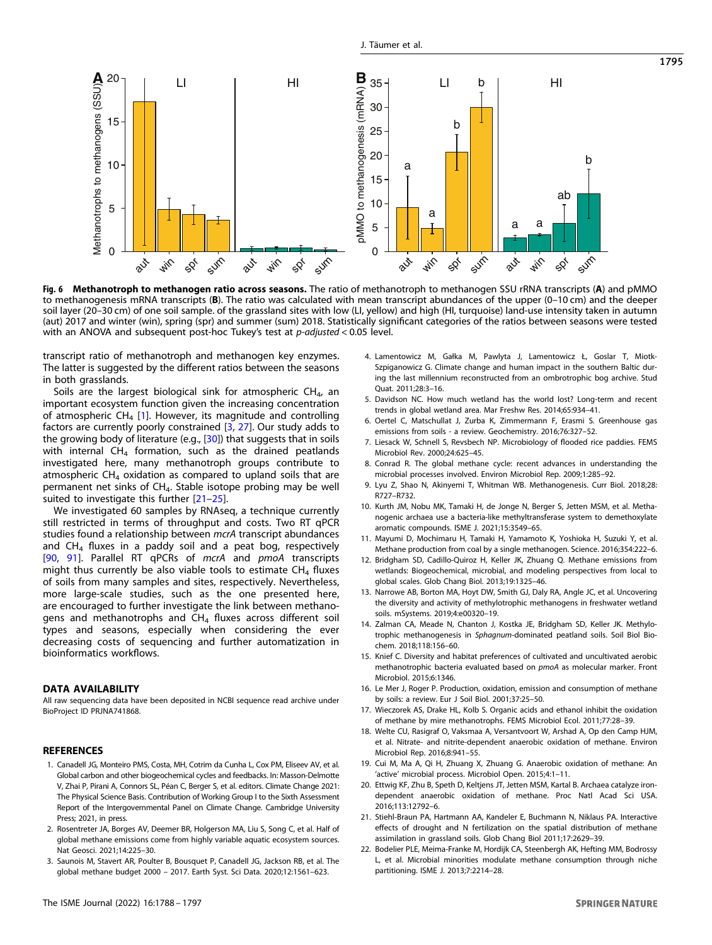<span id="page-7-0"></span>

Fig. 6 Methanotroph to methanogen ratio across seasons. The ratio of methanotroph to methanogen SSU rRNA transcripts (A) and pMMO to methanogenesis mRNA transcripts (B). The ratio was calculated with mean transcript abundances of the upper (0–10 cm) and the deeper soil layer (20–30 cm) of one soil sample. of the grassland sites with low (LI, yellow) and high (HI, turquoise) land-use intensity taken in autumn (aut) 2017 and winter (win), spring (spr) and summer (sum) 2018. Statistically significant categories of the ratios between seasons were tested with an ANOVA and subsequent post-hoc Tukey's test at *p-adjusted* < 0.05 level.

transcript ratio of methanotroph and methanogen key enzymes. The latter is suggested by the different ratios between the seasons in both grasslands.

Soils are the largest biological sink for atmospheric  $CH_{4}$ , an important ecosystem function given the increasing concentration of atmospheric  $CH_4$  [1]. However, its magnitude and controlling factors are currently poorly constrained [3, [27](#page-8-0)]. Our study adds to the growing body of literature (e.g.,  $[30]$  $[30]$ ) that suggests that in soils with internal  $CH_4$  formation, such as the drained peatlands investigated here, many methanotroph groups contribute to atmospheric  $CH<sub>4</sub>$  oxidation as compared to upland soils that are permanent net sinks of CH<sub>4</sub>. Stable isotope probing may be well suited to investigate this further [21-[25\]](#page-8-0).

We investigated 60 samples by RNAseq, a technique currently still restricted in terms of throughput and costs. Two RT qPCR studies found a relationship between mcrA transcript abundances and  $CH_4$  fluxes in a paddy soil and a peat bog, respectively [\[90,](#page-9-0) [91](#page-9-0)]. Parallel RT qPCRs of mcrA and pmoA transcripts might thus currently be also viable tools to estimate  $CH<sub>4</sub>$  fluxes of soils from many samples and sites, respectively. Nevertheless, more large-scale studies, such as the one presented here, are encouraged to further investigate the link between methanogens and methanotrophs and  $CH_4$  fluxes across different soil types and seasons, especially when considering the ever decreasing costs of sequencing and further automatization in bioinformatics workflows.

# DATA AVAILABILITY

All raw sequencing data have been deposited in NCBI sequence read archive under BioProject ID PRJNA741868.

# **REFERENCES**

- 1. Canadell JG, Monteiro PMS, Costa, MH, Cotrim da Cunha L, Cox PM, Eliseev AV, et al. Global carbon and other biogeochemical cycles and feedbacks. In: Masson-Delmotte V, Zhai P, Pirani A, Connors SL, Péan C, Berger S, et al. editors. Climate Change 2021: The Physical Science Basis. Contribution of Working Group I to the Sixth Assessment Report of the Intergovernmental Panel on Climate Change. Cambridge University Press; 2021, in press.
- 2. Rosentreter JA, Borges AV, Deemer BR, Holgerson MA, Liu S, Song C, et al. Half of global methane emissions come from highly variable aquatic ecosystem sources. Nat Geosci. 2021;14:225–30.
- 3. Saunois M, Stavert AR, Poulter B, Bousquet P, Canadell JG, Jackson RB, et al. The global methane budget 2000 – 2017. Earth Syst. Sci Data. 2020;12:1561–623.
- 4. Lamentowicz M, Gałka M, Pawlyta J, Lamentowicz Ł, Goslar T, Miotk-Szpiganowicz G. Climate change and human impact in the southern Baltic during the last millennium reconstructed from an ombrotrophic bog archive. Stud Quat. 2011;28:3–16.
- 5. Davidson NC. How much wetland has the world lost? Long-term and recent trends in global wetland area. Mar Freshw Res. 2014;65:934–41.
- 6. Oertel C, Matschullat J, Zurba K, Zimmermann F, Erasmi S. Greenhouse gas emissions from soils - a review. Geochemistry. 2016;76:327–52.
- 7. Liesack W, Schnell S, Revsbech NP. Microbiology of flooded rice paddies. FEMS Microbiol Rev. 2000;24:625–45.
- 8. Conrad R. The global methane cycle: recent advances in understanding the microbial processes involved. Environ Microbiol Rep. 2009;1:285–92.
- 9. Lyu Z, Shao N, Akinyemi T, Whitman WB. Methanogenesis. Curr Biol. 2018;28: R727–R732.
- 10. Kurth JM, Nobu MK, Tamaki H, de Jonge N, Berger S, Jetten MSM, et al. Methanogenic archaea use a bacteria-like methyltransferase system to demethoxylate aromatic compounds. ISME J. 2021;15:3549–65.
- 11. Mayumi D, Mochimaru H, Tamaki H, Yamamoto K, Yoshioka H, Suzuki Y, et al. Methane production from coal by a single methanogen. Science. 2016;354:222–6.
- 12. Bridgham SD, Cadillo-Quiroz H, Keller JK, Zhuang Q. Methane emissions from wetlands: Biogeochemical, microbial, and modeling perspectives from local to global scales. Glob Chang Biol. 2013;19:1325–46.
- 13. Narrowe AB, Borton MA, Hoyt DW, Smith GJ, Daly RA, Angle JC, et al. Uncovering the diversity and activity of methylotrophic methanogens in freshwater wetland soils. mSystems. 2019;4:e00320–19.
- 14. Zalman CA, Meade N, Chanton J, Kostka JE, Bridgham SD, Keller JK. Methylotrophic methanogenesis in Sphagnum-dominated peatland soils. Soil Biol Biochem. 2018;118:156–60.
- 15. Knief C. Diversity and habitat preferences of cultivated and uncultivated aerobic methanotrophic bacteria evaluated based on pmoA as molecular marker. Front Microbiol. 2015;6:1346.
- 16. Le Mer J, Roger P. Production, oxidation, emission and consumption of methane by soils: a review. Eur J Soil Biol. 2001;37:25–50.
- 17. Wieczorek AS, Drake HL, Kolb S. Organic acids and ethanol inhibit the oxidation of methane by mire methanotrophs. FEMS Microbiol Ecol. 2011;77:28–39.
- 18. Welte CU, Rasigraf O, Vaksmaa A, Versantvoort W, Arshad A, Op den Camp HJM, et al. Nitrate- and nitrite-dependent anaerobic oxidation of methane. Environ Microbiol Rep. 2016;8:941–55.
- 19. Cui M, Ma A, Qi H, Zhuang X, Zhuang G. Anaerobic oxidation of methane: An 'active' microbial process. Microbiol Open. 2015;4:1–11.
- 20. Ettwig KF, Zhu B, Speth D, Keltjens JT, Jetten MSM, Kartal B. Archaea catalyze irondependent anaerobic oxidation of methane. Proc Natl Acad Sci USA. 2016;113:12792–6.
- 21. Stiehl-Braun PA, Hartmann AA, Kandeler E, Buchmann N, Niklaus PA. Interactive effects of drought and N fertilization on the spatial distribution of methane assimilation in grassland soils. Glob Chang Biol 2011;17:2629–39.
- 22. Bodelier PLE, Meima-Franke M, Hordijk CA, Steenbergh AK, Hefting MM, Bodrossy L, et al. Microbial minorities modulate methane consumption through niche partitioning. ISME J. 2013;7:2214–28.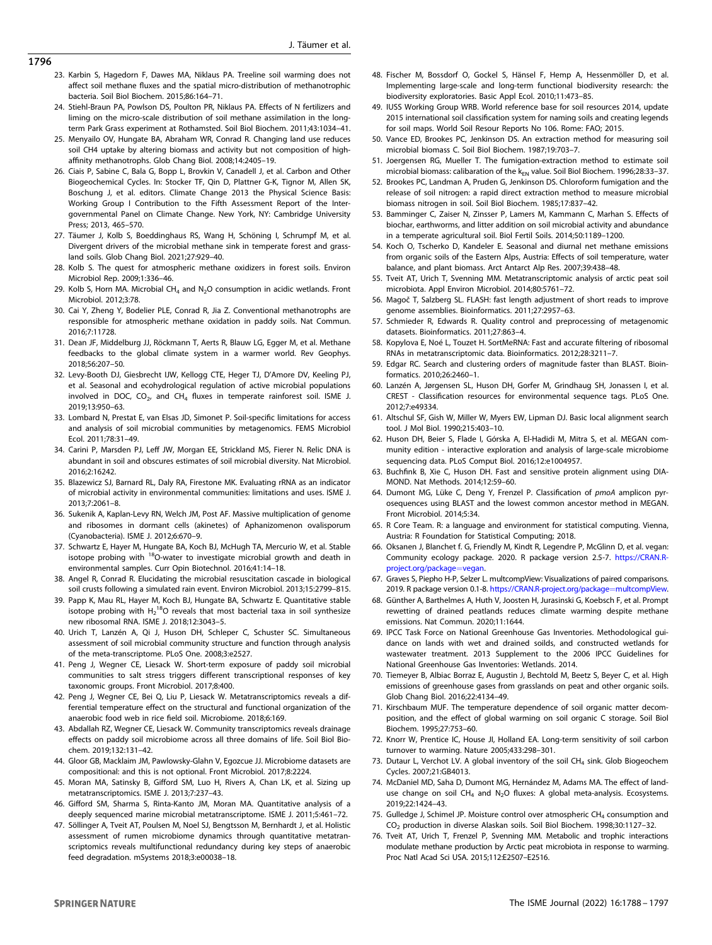- <span id="page-8-0"></span>23. Karbin S, Hagedorn F, Dawes MA, Niklaus PA. Treeline soil warming does not affect soil methane fluxes and the spatial micro-distribution of methanotrophic bacteria. Soil Biol Biochem. 2015;86:164–71.
- 24. Stiehl-Braun PA, Powlson DS, Poulton PR, Niklaus PA. Effects of N fertilizers and liming on the micro-scale distribution of soil methane assimilation in the longterm Park Grass experiment at Rothamsted. Soil Biol Biochem. 2011;43:1034–41.
- 25. Menyailo OV, Hungate BA, Abraham WR, Conrad R. Changing land use reduces soil CH4 uptake by altering biomass and activity but not composition of highaffinity methanotrophs. Glob Chang Biol. 2008;14:2405–19.
- 26. Ciais P, Sabine C, Bala G, Bopp L, Brovkin V, Canadell J, et al. Carbon and Other Biogeochemical Cycles. In: Stocker TF, Qin D, Plattner G-K, Tignor M, Allen SK, Boschung J, et al. editors. Climate Change 2013 the Physical Science Basis: Working Group I Contribution to the Fifth Assessment Report of the Intergovernmental Panel on Climate Change. New York, NY: Cambridge University Press; 2013, 465–570.
- 27. Täumer J, Kolb S, Boeddinghaus RS, Wang H, Schöning I, Schrumpf M, et al. Divergent drivers of the microbial methane sink in temperate forest and grassland soils. Glob Chang Biol. 2021;27:929–40.
- 28. Kolb S. The quest for atmospheric methane oxidizers in forest soils. Environ Microbiol Rep. 2009;1:336–46.
- 29. Kolb S, Horn MA. Microbial  $CH<sub>4</sub>$  and N<sub>2</sub>O consumption in acidic wetlands. Front Microbiol. 2012;3:78.
- 30. Cai Y, Zheng Y, Bodelier PLE, Conrad R, Jia Z. Conventional methanotrophs are responsible for atmospheric methane oxidation in paddy soils. Nat Commun. 2016;7:11728.
- 31. Dean JF, Middelburg JJ, Röckmann T, Aerts R, Blauw LG, Egger M, et al. Methane feedbacks to the global climate system in a warmer world. Rev Geophys. 2018;56:207–50.
- 32. Levy-Booth DJ, Giesbrecht IJW, Kellogg CTE, Heger TJ, D'Amore DV, Keeling PJ, et al. Seasonal and ecohydrological regulation of active microbial populations involved in DOC,  $CO<sub>2</sub>$ , and CH<sub>4</sub> fluxes in temperate rainforest soil. ISME J. 2019;13:950–63.
- 33. Lombard N, Prestat E, van Elsas JD, Simonet P. Soil-specific limitations for access and analysis of soil microbial communities by metagenomics. FEMS Microbiol Ecol. 2011;78:31–49.
- 34. Carini P, Marsden PJ, Leff JW, Morgan EE, Strickland MS, Fierer N. Relic DNA is abundant in soil and obscures estimates of soil microbial diversity. Nat Microbiol. 2016;2:16242.
- 35. Blazewicz SJ, Barnard RL, Daly RA, Firestone MK. Evaluating rRNA as an indicator of microbial activity in environmental communities: limitations and uses. ISME J. 2013;7:2061–8.
- 36. Sukenik A, Kaplan-Levy RN, Welch JM, Post AF. Massive multiplication of genome and ribosomes in dormant cells (akinetes) of Aphanizomenon ovalisporum (Cyanobacteria). ISME J. 2012;6:670–9.
- 37. Schwartz E, Hayer M, Hungate BA, Koch BJ, McHugh TA, Mercurio W, et al. Stable isotope probing with <sup>18</sup>O-water to investigate microbial growth and death in environmental samples. Curr Opin Biotechnol. 2016;41:14–18.
- 38. Angel R, Conrad R. Elucidating the microbial resuscitation cascade in biological soil crusts following a simulated rain event. Environ Microbiol. 2013;15:2799–815.
- 39. Papp K, Mau RL, Hayer M, Koch BJ, Hungate BA, Schwartz E. Quantitative stable isotope probing with  $H_2^{18}O$  reveals that most bacterial taxa in soil synthesize new ribosomal RNA. ISME J. 2018;12:3043–5.
- 40. Urich T, Lanzén A, Qi J, Huson DH, Schleper C, Schuster SC. Simultaneous assessment of soil microbial community structure and function through analysis of the meta-transcriptome. PLoS One. 2008;3:e2527.
- 41. Peng J, Wegner CE, Liesack W. Short-term exposure of paddy soil microbial communities to salt stress triggers different transcriptional responses of key taxonomic groups. Front Microbiol. 2017;8:400.
- 42. Peng J, Wegner CE, Bei Q, Liu P, Liesack W. Metatranscriptomics reveals a differential temperature effect on the structural and functional organization of the anaerobic food web in rice field soil. Microbiome. 2018;6:169.
- 43. Abdallah RZ, Wegner CE, Liesack W. Community transcriptomics reveals drainage effects on paddy soil microbiome across all three domains of life. Soil Biol Biochem. 2019;132:131–42.
- 44. Gloor GB, Macklaim JM, Pawlowsky-Glahn V, Egozcue JJ. Microbiome datasets are compositional: and this is not optional. Front Microbiol. 2017;8:2224.
- 45. Moran MA, Satinsky B, Gifford SM, Luo H, Rivers A, Chan LK, et al. Sizing up metatranscriptomics. ISME J. 2013;7:237–43.
- 46. Gifford SM, Sharma S, Rinta-Kanto JM, Moran MA. Quantitative analysis of a deeply sequenced marine microbial metatranscriptome. ISME J. 2011;5:461–72.
- 47. Söllinger A, Tveit AT, Poulsen M, Noel SJ, Bengtsson M, Bernhardt J, et al. Holistic assessment of rumen microbiome dynamics through quantitative metatranscriptomics reveals multifunctional redundancy during key steps of anaerobic feed degradation. mSystems 2018;3:e00038–18.
- 48. Fischer M, Bossdorf O, Gockel S, Hänsel F, Hemp A, Hessenmöller D, et al. Implementing large-scale and long-term functional biodiversity research: the biodiversity exploratories. Basic Appl Ecol. 2010;11:473–85.
- 49. IUSS Working Group WRB. World reference base for soil resources 2014, update 2015 international soil classification system for naming soils and creating legends for soil maps. World Soil Resour Reports No 106. Rome: FAO; 2015.
- 50. Vance ED, Brookes PC, Jenkinson DS. An extraction method for measuring soil microbial biomass C. Soil Biol Biochem. 1987;19:703–7.
- 51. Joergensen RG, Mueller T. The fumigation-extraction method to estimate soil microbial biomass: calibaration of the  $k_{EN}$  value. Soil Biol Biochem. 1996;28:33-37.
- 52. Brookes PC, Landman A, Pruden G, Jenkinson DS. Chloroform fumigation and the release of soil nitrogen: a rapid direct extraction method to measure microbial biomass nitrogen in soil. Soil Biol Biochem. 1985;17:837–42.
- 53. Bamminger C, Zaiser N, Zinsser P, Lamers M, Kammann C, Marhan S. Effects of biochar, earthworms, and litter addition on soil microbial activity and abundance in a temperate agricultural soil. Biol Fertil Soils. 2014;50:1189–1200.
- 54. Koch O, Tscherko D, Kandeler E. Seasonal and diurnal net methane emissions from organic soils of the Eastern Alps, Austria: Effects of soil temperature, water balance, and plant biomass. Arct Antarct Alp Res. 2007;39:438–48.
- 55. Tveit AT, Urich T, Svenning MM. Metatranscriptomic analysis of arctic peat soil microbiota. Appl Environ Microbiol. 2014;80:5761–72.
- 56. Magoč T, Salzberg SL. FLASH: fast length adjustment of short reads to improve genome assemblies. Bioinformatics. 2011;27:2957–63.
- 57. Schmieder R, Edwards R. Quality control and preprocessing of metagenomic datasets. Bioinformatics. 2011;27:863–4.
- 58. Kopylova E, Noé L, Touzet H. SortMeRNA: Fast and accurate filtering of ribosomal RNAs in metatranscriptomic data. Bioinformatics. 2012;28:3211–7.
- 59. Edgar RC. Search and clustering orders of magnitude faster than BLAST. Bioinformatics. 2010;26:2460–1.
- 60. Lanzén A, Jørgensen SL, Huson DH, Gorfer M, Grindhaug SH, Jonassen I, et al. CREST - Classification resources for environmental sequence tags. PLoS One. 2012;7:e49334.
- 61. Altschul SF, Gish W, Miller W, Myers EW, Lipman DJ. Basic local alignment search tool. J Mol Biol. 1990;215:403–10.
- 62. Huson DH, Beier S, Flade I, Górska A, El-Hadidi M, Mitra S, et al. MEGAN community edition - interactive exploration and analysis of large-scale microbiome sequencing data. PLoS Comput Biol. 2016;12:e1004957.
- 63. Buchfink B, Xie C, Huson DH. Fast and sensitive protein alignment using DIA-MOND. Nat Methods. 2014;12:59–60.
- 64. Dumont MG, Lüke C, Deng Y, Frenzel P. Classification of pmoA amplicon pyrosequences using BLAST and the lowest common ancestor method in MEGAN. Front Microbiol. 2014;5:34.
- 65. R Core Team. R: a language and environment for statistical computing. Vienna, Austria: R Foundation for Statistical Computing; 2018.
- 66. Oksanen J, Blanchet f. G, Friendly M, Kindt R, Legendre P, McGlinn D, et al. vegan: Community ecology package. 2020. R package version 2.5-7. [https://CRAN.R](https://CRAN.R-project.org/package=vegan)[project.org/package](https://CRAN.R-project.org/package=vegan)=vegan.
- 67. Graves S, Piepho H-P, Selzer L. multcompView: Visualizations of paired comparisons. 2019. R package version 0.1-8. [https://CRAN.R-project.org/package](https://CRAN.R-project.org/package=multcompView)=multcompView.
- 68. Günther A, Barthelmes A, Huth V, Joosten H, Jurasinski G, Koebsch F, et al. Prompt rewetting of drained peatlands reduces climate warming despite methane emissions. Nat Commun. 2020;11:1644.
- 69. IPCC Task Force on National Greenhouse Gas Inventories. Methodological guidance on lands with wet and drained soilds, and constructed wetlands for wastewater treatment. 2013 Supplement to the 2006 IPCC Guidelines for National Greenhouse Gas Inventories: Wetlands. 2014.
- 70. Tiemeyer B, Albiac Borraz E, Augustin J, Bechtold M, Beetz S, Beyer C, et al. High emissions of greenhouse gases from grasslands on peat and other organic soils. Glob Chang Biol. 2016;22:4134–49.
- 71. Kirschbaum MUF. The temperature dependence of soil organic matter decomposition, and the effect of global warming on soil organic C storage. Soil Biol Biochem. 1995;27:753–60.
- 72. Knorr W, Prentice IC, House JI, Holland EA. Long-term sensitivity of soil carbon turnover to warming. Nature 2005;433:298–301.
- 73. Dutaur L, Verchot LV. A global inventory of the soil CH<sub>4</sub> sink. Glob Biogeochem Cycles. 2007;21:GB4013.
- 74. McDaniel MD, Saha D, Dumont MG, Hernández M, Adams MA. The effect of landuse change on soil  $CH_4$  and N<sub>2</sub>O fluxes: A global meta-analysis. Ecosystems. 2019;22:1424–43.
- 75. Gulledge J, Schimel JP. Moisture control over atmospheric  $CH<sub>4</sub>$  consumption and CO2 production in diverse Alaskan soils. Soil Biol Biochem. 1998;30:1127–32.
- 76. Tveit AT, Urich T, Frenzel P, Svenning MM. Metabolic and trophic interactions modulate methane production by Arctic peat microbiota in response to warming. Proc Natl Acad Sci USA. 2015;112:E2507–E2516.